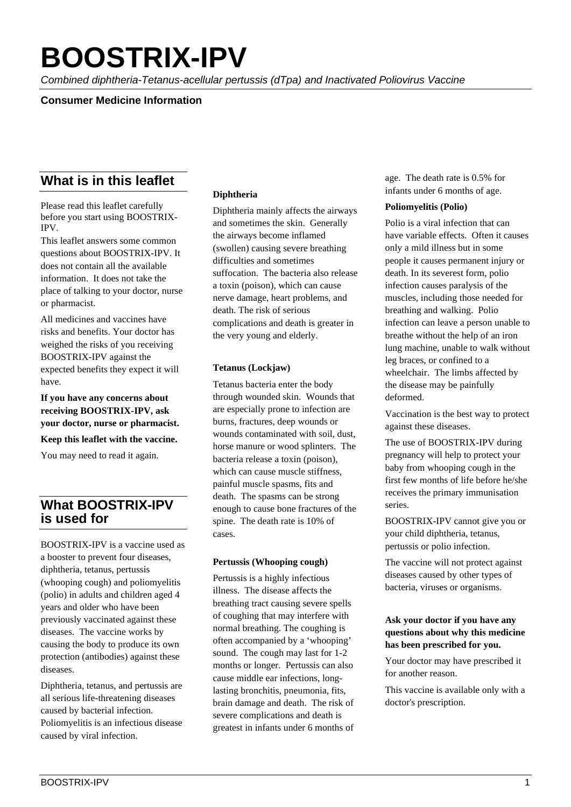# **BOOSTRIX-IPV**

*Combined diphtheria-Tetanus-acellular pertussis (dTpa) and Inactivated Poliovirus Vaccine*

## **Consumer Medicine Information**

# **What is in this leaflet**

Please read this leaflet carefully before you start using BOOSTRIX-IPV.

This leaflet answers some common questions about BOOSTRIX-IPV. It does not contain all the available information. It does not take the place of talking to your doctor, nurse or pharmacist.

All medicines and vaccines have risks and benefits. Your doctor has weighed the risks of you receiving BOOSTRIX-IPV against the expected benefits they expect it will have.

**If you have any concerns about receiving BOOSTRIX-IPV, ask your doctor, nurse or pharmacist.** 

**Keep this leaflet with the vaccine.**

You may need to read it again.

# **What BOOSTRIX-IPV is used for**

BOOSTRIX-IPV is a vaccine used as a booster to prevent four diseases, diphtheria, tetanus, pertussis (whooping cough) and poliomyelitis (polio) in adults and children aged 4 years and older who have been previously vaccinated against these diseases. The vaccine works by causing the body to produce its own protection (antibodies) against these diseases.

Diphtheria, tetanus, and pertussis are all serious life-threatening diseases caused by bacterial infection. Poliomyelitis is an infectious disease caused by viral infection.

## **Diphtheria**

Diphtheria mainly affects the airways and sometimes the skin. Generally the airways become inflamed (swollen) causing severe breathing difficulties and sometimes suffocation. The bacteria also release a toxin (poison), which can cause nerve damage, heart problems, and death. The risk of serious complications and death is greater in the very young and elderly.

#### **Tetanus (Lockjaw)**

Tetanus bacteria enter the body through wounded skin. Wounds that are especially prone to infection are burns, fractures, deep wounds or wounds contaminated with soil, dust, horse manure or wood splinters. The bacteria release a toxin (poison), which can cause muscle stiffness. painful muscle spasms, fits and death. The spasms can be strong enough to cause bone fractures of the spine. The death rate is 10% of cases.

#### **Pertussis (Whooping cough)**

Pertussis is a highly infectious illness. The disease affects the breathing tract causing severe spells of coughing that may interfere with normal breathing. The coughing is often accompanied by a 'whooping' sound. The cough may last for 1-2 months or longer. Pertussis can also cause middle ear infections, longlasting bronchitis, pneumonia, fits, brain damage and death. The risk of severe complications and death is greatest in infants under 6 months of

age. The death rate is 0.5% for infants under 6 months of age.

#### **Poliomyelitis (Polio)**

Polio is a viral infection that can have variable effects. Often it causes only a mild illness but in some people it causes permanent injury or death. In its severest form, polio infection causes paralysis of the muscles, including those needed for breathing and walking. Polio infection can leave a person unable to breathe without the help of an iron lung machine, unable to walk without leg braces, or confined to a wheelchair. The limbs affected by the disease may be painfully deformed.

Vaccination is the best way to protect against these diseases.

The use of BOOSTRIX-IPV during pregnancy will help to protect your baby from whooping cough in the first few months of life before he/she receives the primary immunisation series.

BOOSTRIX-IPV cannot give you or your child diphtheria, tetanus, pertussis or polio infection.

The vaccine will not protect against diseases caused by other types of bacteria, viruses or organisms.

#### **Ask your doctor if you have any questions about why this medicine has been prescribed for you.**

Your doctor may have prescribed it for another reason.

This vaccine is available only with a doctor's prescription.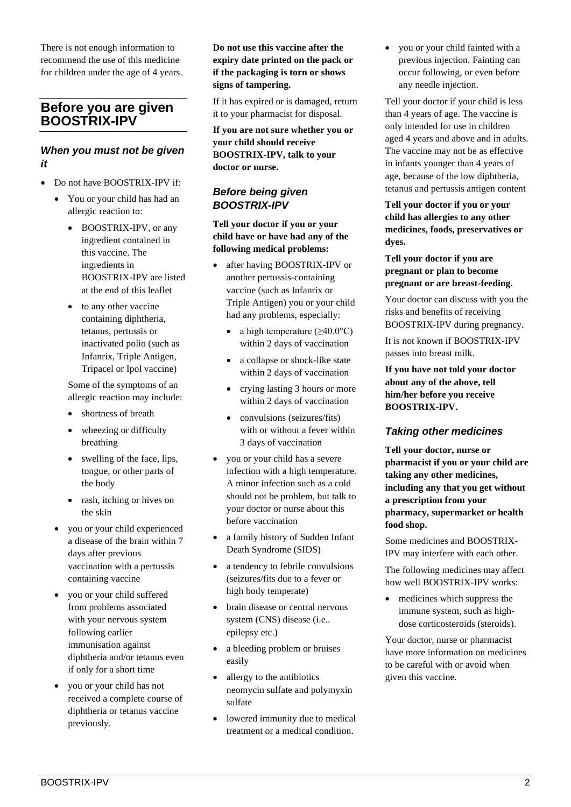There is not enough information to recommend the use of this medicine for children under the age of 4 years.

# **Before you are given BOOSTRIX-IPV**

## *When you must not be given it*

- Do not have BOOSTRIX-IPV if:
	- You or your child has had an allergic reaction to:
		- BOOSTRIX-IPV, or any ingredient contained in this vaccine. The ingredients in BOOSTRIX-IPV are listed at the end of this leaflet
		- to any other vaccine containing diphtheria, tetanus, pertussis or inactivated polio (such as Infanrix, Triple Antigen, Tripacel or Ipol vaccine)

Some of the symptoms of an allergic reaction may include:

- shortness of breath
- wheezing or difficulty breathing
- swelling of the face, lips, tongue, or other parts of the body
- rash, itching or hives on the skin
- you or your child experienced a disease of the brain within 7 days after previous vaccination with a pertussis containing vaccine
- you or your child suffered from problems associated with your nervous system following earlier immunisation against diphtheria and/or tetanus even if only for a short time
- you or your child has not received a complete course of diphtheria or tetanus vaccine previously.

#### **Do not use this vaccine after the expiry date printed on the pack or if the packaging is torn or shows signs of tampering.**

If it has expired or is damaged, return it to your pharmacist for disposal.

**If you are not sure whether you or your child should receive BOOSTRIX-IPV, talk to your doctor or nurse.** 

## *Before being given BOOSTRIX-IPV*

**Tell your doctor if you or your child have or have had any of the following medical problems:**

- after having BOOSTRIX-IPV or another pertussis-containing vaccine (such as Infanrix or Triple Antigen) you or your child had any problems, especially:
	- a high temperature  $(>40.0^{\circ}C)$ within 2 days of vaccination
	- a collapse or shock-like state within 2 days of vaccination
	- crying lasting 3 hours or more within 2 days of vaccination
	- convulsions (seizures/fits) with or without a fever within 3 days of vaccination
- you or your child has a severe infection with a high temperature. A minor infection such as a cold should not be problem, but talk to your doctor or nurse about this before vaccination
- a family history of Sudden Infant Death Syndrome (SIDS)
- a tendency to febrile convulsions (seizures/fits due to a fever or high body temperate)
- brain disease or central nervous system (CNS) disease (i.e.. epilepsy etc.)
- a bleeding problem or bruises easily
- allergy to the antibiotics neomycin sulfate and polymyxin sulfate
- lowered immunity due to medical treatment or a medical condition.

• you or your child fainted with a previous injection. Fainting can occur following, or even before any needle injection.

Tell your doctor if your child is less than 4 years of age. The vaccine is only intended for use in children aged 4 years and above and in adults. The vaccine may not be as effective in infants younger than 4 years of age, because of the low diphtheria, tetanus and pertussis antigen content

#### **Tell your doctor if you or your child has allergies to any other medicines, foods, preservatives or dyes.**

**Tell your doctor if you are pregnant or plan to become pregnant or are breast-feeding.**

Your doctor can discuss with you the risks and benefits of receiving BOOSTRIX-IPV during pregnancy.

It is not known if BOOSTRIX-IPV passes into breast milk.

**If you have not told your doctor about any of the above, tell him/her before you receive BOOSTRIX-IPV.**

# *Taking other medicines*

**Tell your doctor, nurse or pharmacist if you or your child are taking any other medicines, including any that you get without a prescription from your pharmacy, supermarket or health food shop.**

Some medicines and BOOSTRIX-IPV may interfere with each other.

The following medicines may affect how well BOOSTRIX-IPV works:

• medicines which suppress the immune system, such as highdose corticosteroids (steroids).

Your doctor, nurse or pharmacist have more information on medicines to be careful with or avoid when given this vaccine.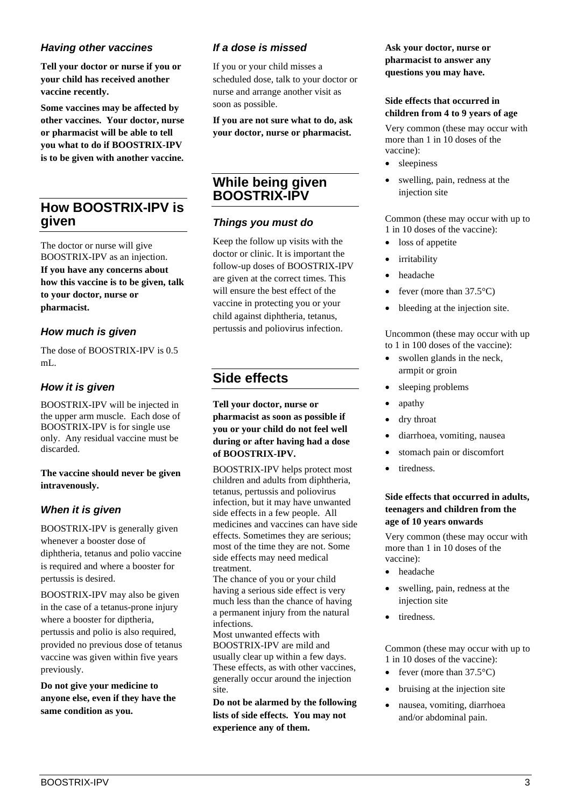## *Having other vaccines*

**Tell your doctor or nurse if you or your child has received another vaccine recently.**

**Some vaccines may be affected by other vaccines. Your doctor, nurse or pharmacist will be able to tell you what to do if BOOSTRIX-IPV is to be given with another vaccine.**

# **How BOOSTRIX-IPV is given**

The doctor or nurse will give BOOSTRIX-IPV as an injection. **If you have any concerns about how this vaccine is to be given, talk to your doctor, nurse or pharmacist.** 

## *How much is given*

The dose of BOOSTRIX-IPV is 0.5 mL.

## *How it is given*

BOOSTRIX-IPV will be injected in the upper arm muscle. Each dose of BOOSTRIX-IPV is for single use only. Any residual vaccine must be discarded.

#### **The vaccine should never be given intravenously.**

## *When it is given*

BOOSTRIX-IPV is generally given whenever a booster dose of diphtheria, tetanus and polio vaccine is required and where a booster for pertussis is desired.

BOOSTRIX-IPV may also be given in the case of a tetanus-prone injury where a booster for diptheria, pertussis and polio is also required, provided no previous dose of tetanus vaccine was given within five years previously.

**Do not give your medicine to anyone else, even if they have the same condition as you.** 

## *If a dose is missed*

If you or your child misses a scheduled dose, talk to your doctor or nurse and arrange another visit as soon as possible.

**If you are not sure what to do, ask your doctor, nurse or pharmacist.** 

# **While being given BOOSTRIX-IPV**

## *Things you must do*

Keep the follow up visits with the doctor or clinic. It is important the follow-up doses of BOOSTRIX-IPV are given at the correct times. This will ensure the best effect of the vaccine in protecting you or your child against diphtheria, tetanus, pertussis and poliovirus infection.

# **Side effects**

**Tell your doctor, nurse or pharmacist as soon as possible if you or your child do not feel well during or after having had a dose of BOOSTRIX-IPV.**

BOOSTRIX-IPV helps protect most children and adults from diphtheria, tetanus, pertussis and poliovirus infection, but it may have unwanted side effects in a few people. All medicines and vaccines can have side effects. Sometimes they are serious; most of the time they are not. Some side effects may need medical treatment.

The chance of you or your child having a serious side effect is very much less than the chance of having a permanent injury from the natural infections.

Most unwanted effects with BOOSTRIX-IPV are mild and usually clear up within a few days. These effects, as with other vaccines, generally occur around the injection site.

**Do not be alarmed by the following lists of side effects. You may not experience any of them.** 

**Ask your doctor, nurse or pharmacist to answer any questions you may have.** 

#### **Side effects that occurred in children from 4 to 9 years of age**

Very common (these may occur with more than 1 in 10 doses of the vaccine):

- sleepiness
- swelling, pain, redness at the injection site

Common (these may occur with up to 1 in 10 doses of the vaccine):

- loss of appetite
- *irritability*
- headache
- fever (more than  $37.5^{\circ}$ C)
- bleeding at the injection site.

Uncommon (these may occur with up to 1 in 100 doses of the vaccine):

- swollen glands in the neck, armpit or groin
- sleeping problems
- apathy
- dry throat
- diarrhoea, vomiting, nausea
- stomach pain or discomfort
- tiredness.

#### **Side effects that occurred in adults, teenagers and children from the age of 10 years onwards**

Very common (these may occur with more than 1 in 10 doses of the vaccine):

- headache
- swelling, pain, redness at the injection site
- tiredness.

Common (these may occur with up to 1 in 10 doses of the vaccine):

- fever (more than  $37.5^{\circ}$ C)
- bruising at the injection site
- nausea, vomiting, diarrhoea and/or abdominal pain.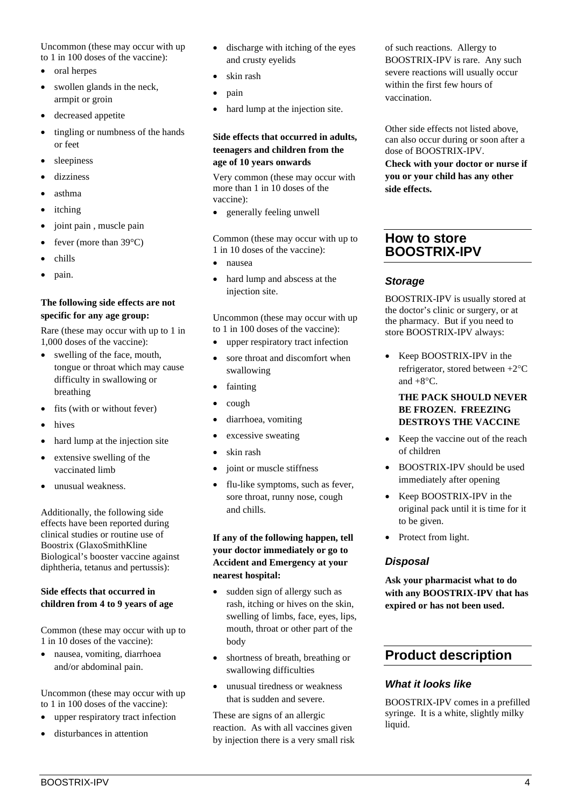Uncommon (these may occur with up to 1 in 100 doses of the vaccine):

- oral herpes
- swollen glands in the neck, armpit or groin
- decreased appetite
- tingling or numbness of the hands or feet
- sleepiness
- dizziness
- asthma
- itching
- joint pain , muscle pain
- fever (more than  $39^{\circ}$ C)
- chills
- pain.

#### **The following side effects are not specific for any age group:**

Rare (these may occur with up to 1 in 1,000 doses of the vaccine):

- swelling of the face, mouth, tongue or throat which may cause difficulty in swallowing or breathing
- fits (with or without fever)
- hives
- hard lump at the injection site
- extensive swelling of the vaccinated limb
- unusual weakness.

Additionally, the following side effects have been reported during clinical studies or routine use of Boostrix (GlaxoSmithKline Biological's booster vaccine against diphtheria, tetanus and pertussis):

#### **Side effects that occurred in children from 4 to 9 years of age**

Common (these may occur with up to 1 in 10 doses of the vaccine):

• nausea, vomiting, diarrhoea and/or abdominal pain.

Uncommon (these may occur with up to 1 in 100 doses of the vaccine):

- upper respiratory tract infection
- disturbances in attention
- discharge with itching of the eyes and crusty eyelids
- skin rash
- pain
- hard lump at the injection site.

#### **Side effects that occurred in adults, teenagers and children from the age of 10 years onwards**

Very common (these may occur with more than 1 in 10 doses of the vaccine):

• generally feeling unwell

Common (these may occur with up to 1 in 10 doses of the vaccine):

- nausea
- hard lump and abscess at the injection site.

Uncommon (these may occur with up to 1 in 100 doses of the vaccine):

- upper respiratory tract infection
- sore throat and discomfort when swallowing
- fainting
- cough
- diarrhoea, vomiting
- excessive sweating
- skin rash
- joint or muscle stiffness
- flu-like symptoms, such as fever, sore throat, runny nose, cough and chills.

**If any of the following happen, tell your doctor immediately or go to Accident and Emergency at your nearest hospital:** 

- sudden sign of allergy such as rash, itching or hives on the skin, swelling of limbs, face, eyes, lips, mouth, throat or other part of the body
- shortness of breath, breathing or swallowing difficulties
- unusual tiredness or weakness that is sudden and severe.

These are signs of an allergic reaction. As with all vaccines given by injection there is a very small risk of such reactions. Allergy to BOOSTRIX-IPV is rare. Any such severe reactions will usually occur within the first few hours of vaccination.

Other side effects not listed above, can also occur during or soon after a dose of BOOSTRIX-IPV.

**Check with your doctor or nurse if you or your child has any other side effects.**

# **How to store BOOSTRIX-IPV**

## *Storage*

BOOSTRIX-IPV is usually stored at the doctor's clinic or surgery, or at the pharmacy. But if you need to store BOOSTRIX-IPV always:

• Keep BOOSTRIX-IPV in the refrigerator, stored between +2°C and  $+8$ °C.

#### **THE PACK SHOULD NEVER BE FROZEN. FREEZING DESTROYS THE VACCINE**

- Keep the vaccine out of the reach of children
- BOOSTRIX-IPV should be used immediately after opening
- Keep BOOSTRIX-IPV in the original pack until it is time for it to be given.
- Protect from light.

## *Disposal*

**Ask your pharmacist what to do with any BOOSTRIX-IPV that has expired or has not been used.** 

# **Product description**

## *What it looks like*

BOOSTRIX-IPV comes in a prefilled syringe. It is a white, slightly milky liquid.